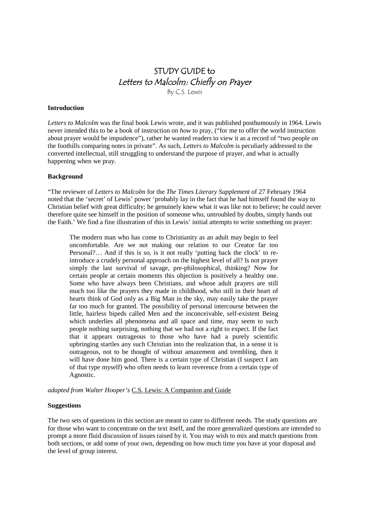# STUDY GUIDE to Letters to Malcolm: Chiefly on Prayer By C.S. Lewis

#### **Introduction**

*Letters to Malcolm* was the final book Lewis wrote, and it was published posthumously in 1964. Lewis never intended this to be a book of instruction on *how* to pray, ("for me to offer the world instruction about prayer would be impudence"), rather he wanted readers to view it as a record of "two people on the foothills comparing notes in private". As such, *Letters to Malcolm* is peculiarly addressed to the converted intellectual, still struggling to understand the purpose of prayer, and what is actually happening when we pray.

# **Background**

"The reviewer of *Letters to Malcolm* for the *The Times Literary Supplement* of 27 February 1964 noted that the 'secret' of Lewis' power 'probably lay in the fact that he had himself found the way to Christian belief with great difficulty; he genuinely knew what it was like not to believe; he could never therefore quite see himself in the position of someone who, untroubled by doubts, simply hands out the Faith.' We find a fine illustration of this in Lewis' initial attempts to write something on prayer:

The modern man who has come to Christianity as an adult may begin to feel uncomfortable. Are we not making our relation to our Creator far too Personal?… And if this is so, is it not really 'putting back the clock' to reintroduce a crudely personal approach on the highest level of all? Is not prayer simply the last survival of savage, pre-philosophical, thinking? Now for certain people at certain moments this objection is positively a healthy one. Some who have always been Christians, and whose adult prayers are still much too like the prayers they made in childhood, who still in their heart of hearts think of God only as a Big Man in the sky, may easily take the prayer far too much for granted. The possibility of personal intercourse between the little, hairless bipeds called Men and the inconceivable, self-existent Being which underlies all phenomena and all space and time, may seem to such people nothing surprising, nothing that we had not a right to expect. If the fact that it appears outrageous to those who have had a purely scientific upbringing startles any such Christian into the realization that, in a sense it is outrageous, not to be thought of without amazement and trembling, then it will have done him good. There is a certain type of Christian (I suspect I am of that type myself) who often needs to learn reverence from a certain type of Agnostic.

*adapted from Walter Hooper's* C.S. Lewis: A Companion and Guide

#### **Suggestions**

The two sets of questions in this section are meant to cater to different needs. The study questions are for those who want to concentrate on the text itself, and the more generalized questions are intended to prompt a more fluid discussion of issues raised by it. You may wish to mix and match questions from both sections, or add some of your own, depending on how much time you have at your disposal and the level of group interest.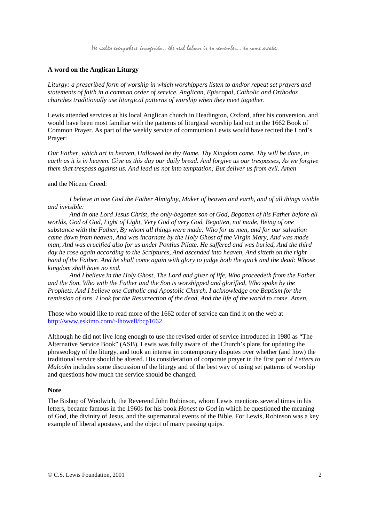He walks everywhere incognito… the real labour is to remember… to come awake.

# **A word on the Anglican Liturgy**

*Liturgy: a prescribed form of worship in which worshippers listen to and/or repeat set prayers and statements of faith in a common order of service. Anglican, Episcopal, Catholic and Orthodox churches traditionally use liturgical patterns of worship when they meet together.*

Lewis attended services at his local Anglican church in Headington, Oxford, after his conversion, and would have been most familiar with the patterns of liturgical worship laid out in the 1662 Book of Common Prayer. As part of the weekly service of communion Lewis would have recited the Lord's Prayer:

*Our Father, which art in heaven, Hallowed be thy Name. Thy Kingdom come. Thy will be done, in earth as it is in heaven. Give us this day our daily bread. And forgive us our trespasses, As we forgive them that trespass against us. And lead us not into temptation; But deliver us from evil. Amen*

## and the Nicene Creed:

*I believe in one God the Father Almighty, Maker of heaven and earth, and of all things visible and invisible:*

*And in one Lord Jesus Christ, the only-begotten son of God, Begotten of his Father before all worlds, God of God, Light of Light, Very God of very God, Begotten, not made, Being of one substance with the Father, By whom all things were made: Who for us men, and for our salvation came down from heaven, And was incarnate by the Holy Ghost of the Virgin Mary, And was made man, And was crucified also for us under Pontius Pilate. He suffered and was buried, And the third day he rose again according to the Scriptures, And ascended into heaven, And sitteth on the right hand of the Father. And he shall come again with glory to judge both the quick and the dead: Whose kingdom shall have no end.*

*And I believe in the Holy Ghost, The Lord and giver of life, Who proceedeth from the Father and the Son, Who with the Father and the Son is worshipped and glorified, Who spake by the Prophets. And I believe one Catholic and Apostolic Church. I acknowledge one Baptism for the remission of sins. I look for the Resurrection of the dead, And the life of the world to come. Amen.*

Those who would like to read more of the 1662 order of service can find it on the web at http://www.eskimo.com/~lhowell/bcp1662

Although he did not live long enough to use the revised order of service introduced in 1980 as "The Alternative Service Book" (ASB), Lewis was fully aware of the Church's plans for updating the phraseology of the liturgy, and took an interest in contemporary disputes over whether (and how) the traditional service should be altered. His consideration of corporate prayer in the first part of *Letters to Malcolm* includes some discussion of the liturgy and of the best way of using set patterns of worship and questions how much the service should be changed.

## **Note**

The Bishop of Woolwich, the Reverend John Robinson, whom Lewis mentions several times in his letters, became famous in the 1960s for his book *Honest to God* in which he questioned the meaning of God, the divinity of Jesus, and the supernatural events of the Bible. For Lewis, Robinson was a key example of liberal apostasy, and the object of many passing quips.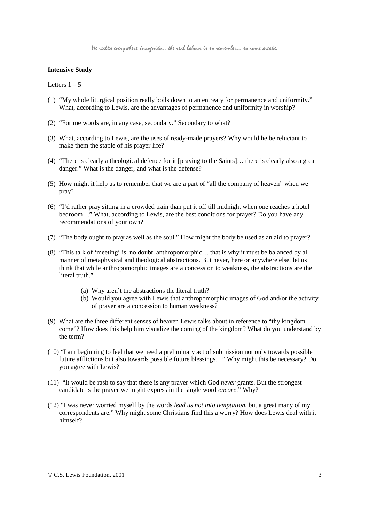# **Intensive Study**

#### Letters  $1 - 5$

- (1) "My whole liturgical position really boils down to an entreaty for permanence and uniformity." What, according to Lewis, are the advantages of permanence and uniformity in worship?
- (2) "For me words are, in any case, secondary." Secondary to what?
- (3) What, according to Lewis, are the uses of ready-made prayers? Why would he be reluctant to make them the staple of his prayer life?
- (4) "There is clearly a theological defence for it [praying to the Saints]… there is clearly also a great danger." What is the danger, and what is the defense?
- (5) How might it help us to remember that we are a part of "all the company of heaven" when we pray?
- (6) "I'd rather pray sitting in a crowded train than put it off till midnight when one reaches a hotel bedroom…" What, according to Lewis, are the best conditions for prayer? Do you have any recommendations of your own?
- (7) "The body ought to pray as well as the soul." How might the body be used as an aid to prayer?
- (8) "This talk of 'meeting' is, no doubt, anthropomorphic… that is why it must be balanced by all manner of metaphysical and theological abstractions. But never, here or anywhere else, let us think that while anthropomorphic images are a concession to weakness, the abstractions are the literal truth."
	- (a) Why aren't the abstractions the literal truth?
	- (b) Would you agree with Lewis that anthropomorphic images of God and/or the activity of prayer are a concession to human weakness?
- (9) What are the three different senses of heaven Lewis talks about in reference to "thy kingdom come"? How does this help him visualize the coming of the kingdom? What do you understand by the term?
- (10) "I am beginning to feel that we need a preliminary act of submission not only towards possible future afflictions but also towards possible future blessings…" Why might this be necessary? Do you agree with Lewis?
- (11) "It would be rash to say that there is any prayer which God *never* grants. But the strongest candidate is the prayer we might express in the single word *encore*." Why?
- (12) "I was never worried myself by the words *lead us not into temptation*, but a great many of my correspondents are." Why might some Christians find this a worry? How does Lewis deal with it himself?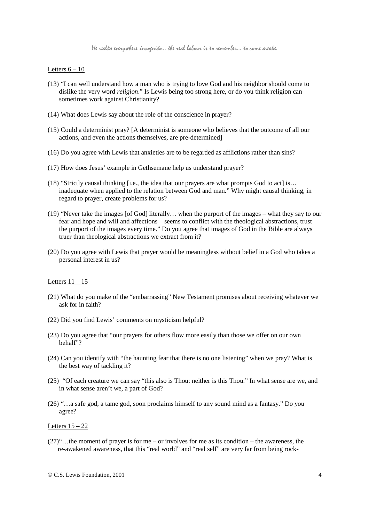He walks everywhere incognito… the real labour is to remember… to come awake.

## Letters  $6 - 10$

- (13) "I can well understand how a man who is trying to love God and his neighbor should come to dislike the very word *religion*." Is Lewis being too strong here, or do you think religion can sometimes work against Christianity?
- (14) What does Lewis say about the role of the conscience in prayer?
- (15) Could a determinist pray? [A determinist is someone who believes that the outcome of all our actions, and even the actions themselves, are pre-determined]
- (16) Do you agree with Lewis that anxieties are to be regarded as afflictions rather than sins?
- (17) How does Jesus' example in Gethsemane help us understand prayer?
- (18) "Strictly causal thinking [i.e., the idea that our prayers are what prompts God to act] is… inadequate when applied to the relation between God and man." Why might causal thinking, in regard to prayer, create problems for us?
- (19) "Never take the images [of God] literally… when the purport of the images what they say to our fear and hope and will and affections – seems to conflict with the theological abstractions, trust the purport of the images every time." Do you agree that images of God in the Bible are always truer than theological abstractions we extract from it?
- (20) Do you agree with Lewis that prayer would be meaningless without belief in a God who takes a personal interest in us?

## Letters  $11 - 15$

- (21) What do you make of the "embarrassing" New Testament promises about receiving whatever we ask for in faith?
- (22) Did you find Lewis' comments on mysticism helpful?
- (23) Do you agree that "our prayers for others flow more easily than those we offer on our own behalf"?
- (24) Can you identify with "the haunting fear that there is no one listening" when we pray? What is the best way of tackling it?
- (25) "Of each creature we can say "this also is Thou: neither is this Thou." In what sense are we, and in what sense aren't we, a part of God?
- (26) "…a safe god, a tame god, soon proclaims himself to any sound mind as a fantasy." Do you agree?

Letters  $15 - 22$ 

(27)"…the moment of prayer is for me – or involves for me as its condition – the awareness, the re-awakened awareness, that this "real world" and "real self" are very far from being rock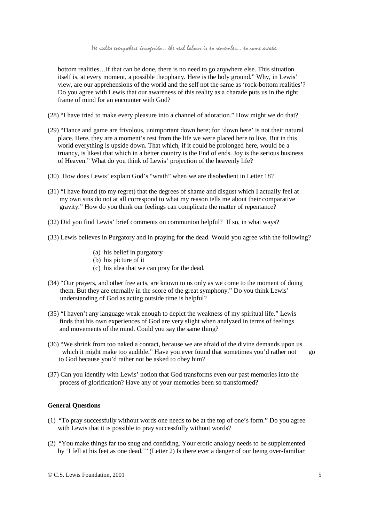bottom realities…if that can be done, there is no need to go anywhere else. This situation itself is, at every moment, a possible theophany. Here is the holy ground." Why, in Lewis' view, are our apprehensions of the world and the self not the same as 'rock-bottom realities'? Do you agree with Lewis that our awareness of this reality as a charade puts us in the right frame of mind for an encounter with God?

- (28) "I have tried to make every pleasure into a channel of adoration." How might we do that?
- (29) "Dance and game are frivolous, unimportant down here; for 'down here' is not their natural place. Here, they are a moment's rest from the life we were placed here to live. But in this world everything is upside down. That which, if it could be prolonged here, would be a truancy, is likest that which in a better country is the End of ends. Joy is the serious business of Heaven." What do you think of Lewis' projection of the heavenly life?
- (30) How does Lewis' explain God's "wrath" when we are disobedient in Letter 18?
- (31) "I have found (to my regret) that the degrees of shame and disgust which I actually feel at my own sins do not at all correspond to what my reason tells me about their comparative gravity." How do you think our feelings can complicate the matter of repentance?
- (32) Did you find Lewis' brief comments on communion helpful? If so, in what ways?
- (33) Lewis believes in Purgatory and in praying for the dead. Would you agree with the following?
	- (a) his belief in purgatory
	- (b) his picture of it
	- (c) his idea that we can pray for the dead.
- (34) "Our prayers, and other free acts, are known to us only as we come to the moment of doing them. But they are eternally in the score of the great symphony." Do you think Lewis' understanding of God as acting outside time is helpful?
- (35) "I haven't any language weak enough to depict the weakness of my spiritual life." Lewis finds that his own experiences of God are very slight when analyzed in terms of feelings and movements of the mind. Could you say the same thing?
- (36) "We shrink from too naked a contact, because we are afraid of the divine demands upon us which it might make too audible." Have you ever found that sometimes you'd rather not go to God because you'd rather not be asked to obey him?
- (37) Can you identify with Lewis' notion that God transforms even our past memories into the process of glorification? Have any of your memories been so transformed?

# **General Questions**

- (1) "To pray successfully without words one needs to be at the top of one's form." Do you agree with Lewis that it is possible to pray successfully without words?
- (2) "You make things far too snug and confiding. Your erotic analogy needs to be supplemented by 'I fell at his feet as one dead.'" (Letter 2) Is there ever a danger of our being over-familiar